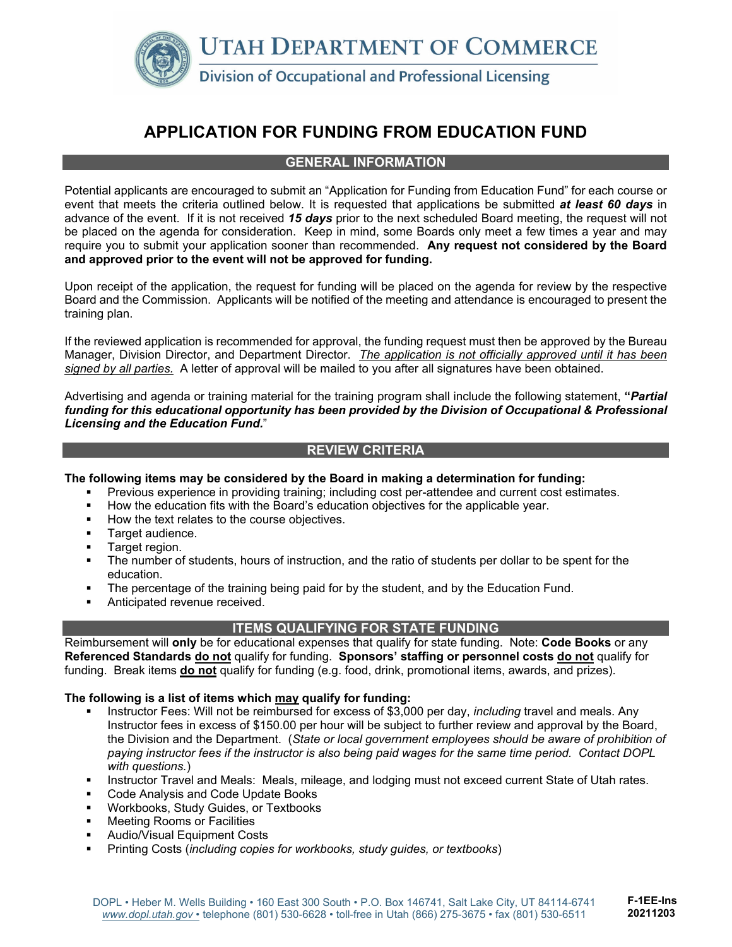

# **APPLICATION FOR FUNDING FROM EDUCATION FUND**

#### **GENERAL INFORMATION**

Potential applicants are encouraged to submit an "Application for Funding from Education Fund" for each course or event that meets the criteria outlined below. It is requested that applications be submitted *at least 60 days* in advance of the event. If it is not received *15 days* prior to the next scheduled Board meeting, the request will not be placed on the agenda for consideration. Keep in mind, some Boards only meet a few times a year and may require you to submit your application sooner than recommended. **Any request not considered by the Board and approved prior to the event will not be approved for funding.**

Upon receipt of the application, the request for funding will be placed on the agenda for review by the respective Board and the Commission. Applicants will be notified of the meeting and attendance is encouraged to present the training plan.

If the reviewed application is recommended for approval, the funding request must then be approved by the Bureau Manager, Division Director, and Department Director. *The application is not officially approved until it has been signed by all parties.* A letter of approval will be mailed to you after all signatures have been obtained.

Advertising and agenda or training material for the training program shall include the following statement, **"***Partial funding for this educational opportunity has been provided by the Division of Occupational & Professional Licensing and the Education Fund.*"

#### **REVIEW CRITERIA**

**The following items may be considered by the Board in making a determination for funding:** 

- Previous experience in providing training; including cost per-attendee and current cost estimates.
- How the education fits with the Board's education objectives for the applicable year.
- How the text relates to the course objectives.
- **Target audience.**
- **Target region.**
- The number of students, hours of instruction, and the ratio of students per dollar to be spent for the education.
- **The percentage of the training being paid for by the student, and by the Education Fund.**
- **Anticipated revenue received.**

#### **ITEMS QUALIFYING FOR STATE FUNDING**

Reimbursement will **only** be for educational expenses that qualify for state funding. Note: **Code Books** or any **Referenced Standards do not** qualify for funding. **Sponsors' staffing or personnel costs do not** qualify for funding. Break items **do not** qualify for funding (e.g. food, drink, promotional items, awards, and prizes).

#### **The following is a list of items which may qualify for funding:**

- Instructor Fees: Will not be reimbursed for excess of \$3,000 per day, *including* travel and meals. Any Instructor fees in excess of \$150.00 per hour will be subject to further review and approval by the Board, the Division and the Department. (*State or local government employees should be aware of prohibition of paying instructor fees if the instructor is also being paid wages for the same time period. Contact DOPL with questions.*)
- Instructor Travel and Meals: Meals, mileage, and lodging must not exceed current State of Utah rates.
- Code Analysis and Code Update Books
- Workbooks, Study Guides, or Textbooks
- Meeting Rooms or Facilities
- Audio/Visual Equipment Costs
- Printing Costs (*including copies for workbooks, study guides, or textbooks*)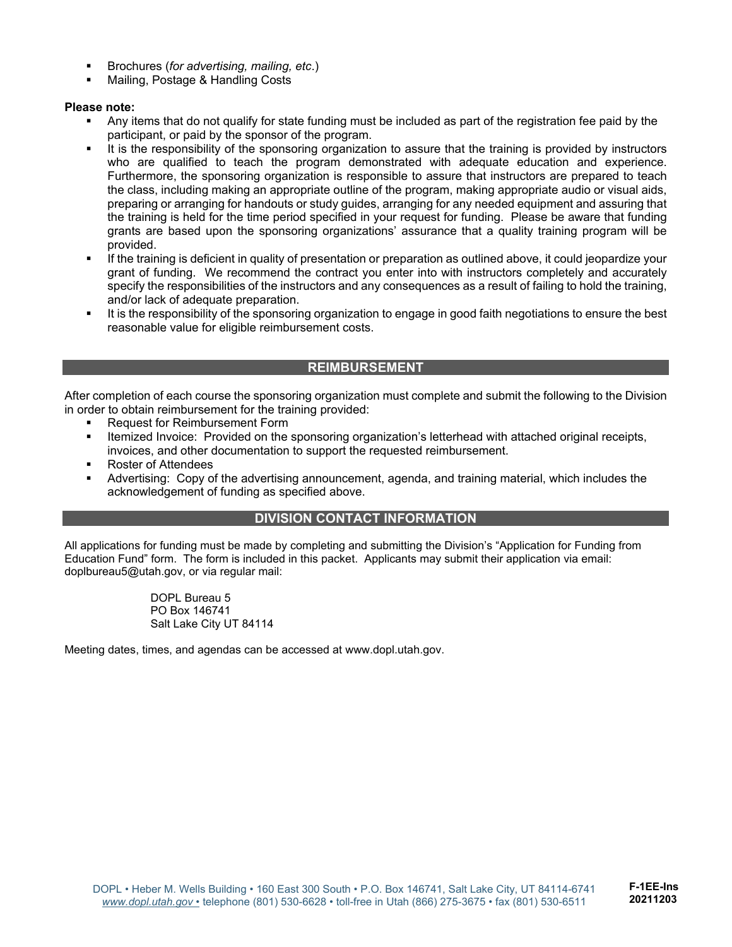- Brochures (*for advertising, mailing, etc*.)
- Mailing, Postage & Handling Costs

#### **Please note:**

- Any items that do not qualify for state funding must be included as part of the registration fee paid by the participant, or paid by the sponsor of the program.
- It is the responsibility of the sponsoring organization to assure that the training is provided by instructors who are qualified to teach the program demonstrated with adequate education and experience. Furthermore, the sponsoring organization is responsible to assure that instructors are prepared to teach the class, including making an appropriate outline of the program, making appropriate audio or visual aids, preparing or arranging for handouts or study guides, arranging for any needed equipment and assuring that the training is held for the time period specified in your request for funding. Please be aware that funding grants are based upon the sponsoring organizations' assurance that a quality training program will be provided.
- If the training is deficient in quality of presentation or preparation as outlined above, it could jeopardize your grant of funding. We recommend the contract you enter into with instructors completely and accurately specify the responsibilities of the instructors and any consequences as a result of failing to hold the training, and/or lack of adequate preparation.
- It is the responsibility of the sponsoring organization to engage in good faith negotiations to ensure the best reasonable value for eligible reimbursement costs.

#### **REIMBURSEMENT**

After completion of each course the sponsoring organization must complete and submit the following to the Division in order to obtain reimbursement for the training provided:

- Request for Reimbursement Form
- **Itemized Invoice: Provided on the sponsoring organization's letterhead with attached original receipts,** invoices, and other documentation to support the requested reimbursement.
- Roster of Attendees
- Advertising: Copy of the advertising announcement, agenda, and training material, which includes the acknowledgement of funding as specified above.

#### **DIVISION CONTACT INFORMATION**

All applications for funding must be made by completing and submitting the Division's "Application for Funding from Education Fund" form. The form is included in this packet. Applicants may submit their application via email: doplbureau5@utah.gov, or via regular mail:

> DOPL Bureau 5 PO Box 146741 Salt Lake City UT 84114

Meeting dates, times, and agendas can be accessed at www.dopl.utah.gov.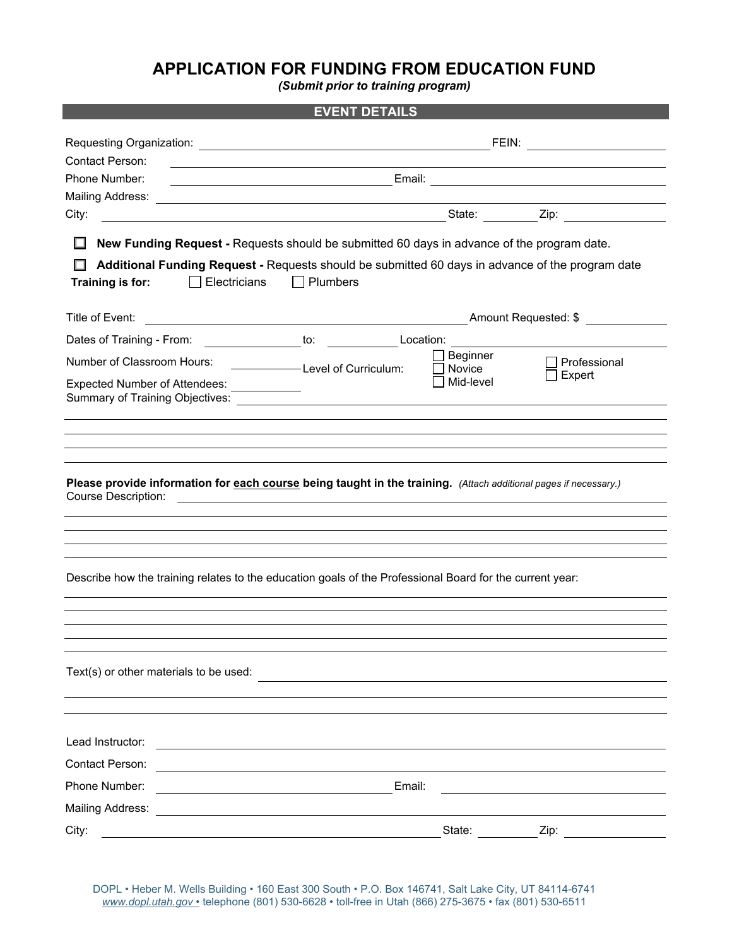## **APPLICATION FOR FUNDING FROM EDUCATION FUND**

*(Submit prior to training program)* 

|                                                                    | <b>EVENT DETAILS</b>                                                                                                                                                                                                                      |
|--------------------------------------------------------------------|-------------------------------------------------------------------------------------------------------------------------------------------------------------------------------------------------------------------------------------------|
|                                                                    |                                                                                                                                                                                                                                           |
| Contact Person:                                                    |                                                                                                                                                                                                                                           |
| Phone Number:                                                      |                                                                                                                                                                                                                                           |
|                                                                    |                                                                                                                                                                                                                                           |
| City:                                                              |                                                                                                                                                                                                                                           |
| $\Box$<br>Electricians<br>Training is for:<br>$\mathbf{I}$         | New Funding Request - Requests should be submitted 60 days in advance of the program date.<br>Additional Funding Request - Requests should be submitted 60 days in advance of the program date<br>$\Box$ Plumbers                         |
| Title of Event:                                                    |                                                                                                                                                                                                                                           |
| Dates of Training - From:                                          | _________________to: ______________Location: _                                                                                                                                                                                            |
| Number of Classroom Hours:<br><b>Expected Number of Attendees:</b> | Beginner<br>Professional<br>Level of Curriculum:<br>Novice<br>Expert<br>Mid-level<br><u> 1999 - Jan Bartha, politik a</u>                                                                                                                 |
|                                                                    |                                                                                                                                                                                                                                           |
|                                                                    |                                                                                                                                                                                                                                           |
|                                                                    |                                                                                                                                                                                                                                           |
|                                                                    |                                                                                                                                                                                                                                           |
| <b>Course Description:</b>                                         | Please provide information for each course being taught in the training. (Attach additional pages if necessary.)<br><u>and the state of the state of the state of the state of the state of the state of the state of the state of th</u> |
|                                                                    |                                                                                                                                                                                                                                           |
|                                                                    |                                                                                                                                                                                                                                           |
|                                                                    |                                                                                                                                                                                                                                           |
|                                                                    | Describe how the training relates to the education goals of the Professional Board for the current year:                                                                                                                                  |
|                                                                    |                                                                                                                                                                                                                                           |
|                                                                    |                                                                                                                                                                                                                                           |
|                                                                    |                                                                                                                                                                                                                                           |
| Text(s) or other materials to be used:                             |                                                                                                                                                                                                                                           |
|                                                                    |                                                                                                                                                                                                                                           |
|                                                                    |                                                                                                                                                                                                                                           |
| Lead Instructor:                                                   |                                                                                                                                                                                                                                           |
| Contact Person:                                                    |                                                                                                                                                                                                                                           |
| Phone Number:                                                      | Email:                                                                                                                                                                                                                                    |
| <b>Mailing Address:</b>                                            |                                                                                                                                                                                                                                           |
| City:                                                              | State:<br>Zip:                                                                                                                                                                                                                            |

DOPL • Heber M. Wells Building • 160 East 300 South • P.O. Box 146741, Salt Lake City, UT 84114-6741 *www.dopl.utah.gov* • telephone (801) 530-6628 • toll-free in Utah (866) 275-3675 • fax (801) 530-6511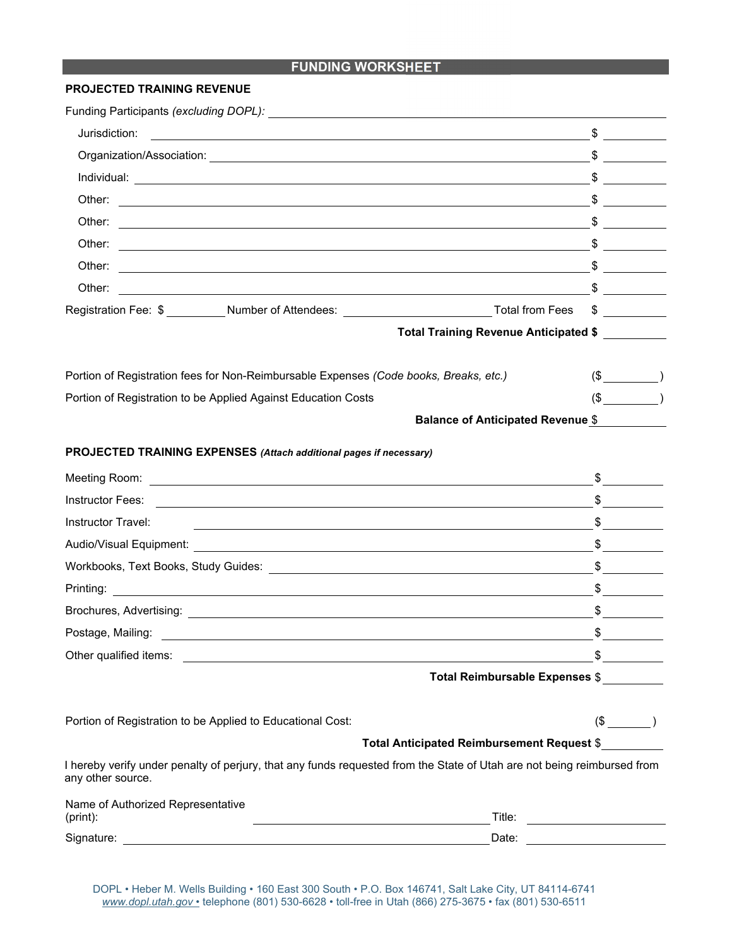### **FUNDING WORKSHEET**

#### **PROJECTED TRAINING REVENUE**

| Funding Participants (excluding DOPL): \\contact \\contact \\contact \\contact \\contact \\contact \\contact \\contact \\contact \\contact \\contact \\contact \\contact \\contact \\contact \\contact \\contact \\contact \\c                                                                                                                                                                                                           |               |  |
|------------------------------------------------------------------------------------------------------------------------------------------------------------------------------------------------------------------------------------------------------------------------------------------------------------------------------------------------------------------------------------------------------------------------------------------|---------------|--|
| Jurisdiction:<br><u> 1989 - Johann Stoff, deutscher Stoffen und der Stoffen und der Stoffen und der Stoffen und der Stoffen und der</u>                                                                                                                                                                                                                                                                                                  | $\frac{1}{2}$ |  |
|                                                                                                                                                                                                                                                                                                                                                                                                                                          |               |  |
|                                                                                                                                                                                                                                                                                                                                                                                                                                          |               |  |
|                                                                                                                                                                                                                                                                                                                                                                                                                                          |               |  |
|                                                                                                                                                                                                                                                                                                                                                                                                                                          |               |  |
|                                                                                                                                                                                                                                                                                                                                                                                                                                          |               |  |
| Other:                                                                                                                                                                                                                                                                                                                                                                                                                                   |               |  |
| $\overline{\phantom{a}1}$ $\overline{\phantom{a}1}$ $\overline{\phantom{a}1}$ $\overline{\phantom{a}1}$ $\overline{\phantom{a}1}$ $\overline{\phantom{a}1}$ $\overline{\phantom{a}1}$ $\overline{\phantom{a}1}$ $\overline{\phantom{a}1}$ $\overline{\phantom{a}1}$ $\overline{\phantom{a}1}$ $\overline{\phantom{a}1}$ $\overline{\phantom{a}1}$ $\overline{\phantom{a}1}$ $\overline{\phantom{a}1}$ $\overline{\phantom{a}1$<br>Other: |               |  |
| Registration Fee: \$ _________Number of Attendees: ____________________________Total from Fees \$ _________                                                                                                                                                                                                                                                                                                                              |               |  |
| Total Training Revenue Anticipated \$                                                                                                                                                                                                                                                                                                                                                                                                    |               |  |
| Portion of Registration fees for Non-Reimbursable Expenses (Code books, Breaks, etc.)                                                                                                                                                                                                                                                                                                                                                    | $(\$$ (5)     |  |
| Portion of Registration to be Applied Against Education Costs                                                                                                                                                                                                                                                                                                                                                                            | $(\$$ )       |  |
| <b>Balance of Anticipated Revenue \$</b>                                                                                                                                                                                                                                                                                                                                                                                                 |               |  |
| PROJECTED TRAINING EXPENSES (Attach additional pages if necessary)                                                                                                                                                                                                                                                                                                                                                                       |               |  |
|                                                                                                                                                                                                                                                                                                                                                                                                                                          | $\frac{1}{2}$ |  |
|                                                                                                                                                                                                                                                                                                                                                                                                                                          | $\frac{1}{2}$ |  |
| Instructor Travel:<br><u> 1989 - Johann Stoff, Amerikaansk politiker († 1908)</u>                                                                                                                                                                                                                                                                                                                                                        | $\frac{1}{2}$ |  |
|                                                                                                                                                                                                                                                                                                                                                                                                                                          | $\sim$        |  |
|                                                                                                                                                                                                                                                                                                                                                                                                                                          | $\frac{1}{2}$ |  |
|                                                                                                                                                                                                                                                                                                                                                                                                                                          | $\frac{1}{2}$ |  |
|                                                                                                                                                                                                                                                                                                                                                                                                                                          | $\frac{1}{2}$ |  |
| Postage, Mailing:                                                                                                                                                                                                                                                                                                                                                                                                                        | \$            |  |
| Other qualified items: example and a set of the set of the set of the set of the set of the set of the set of the set of the set of the set of the set of the set of the set of the set of the set of the set of the set of th                                                                                                                                                                                                           |               |  |
| Total Reimbursable Expenses \$                                                                                                                                                                                                                                                                                                                                                                                                           |               |  |
| Portion of Registration to be Applied to Educational Cost:                                                                                                                                                                                                                                                                                                                                                                               | $(\$$ $)$     |  |
| Total Anticipated Reimbursement Request \$                                                                                                                                                                                                                                                                                                                                                                                               |               |  |
| I hereby verify under penalty of perjury, that any funds requested from the State of Utah are not being reimbursed from<br>any other source.                                                                                                                                                                                                                                                                                             |               |  |
| Name of Authorized Representative<br>(print):<br><u> 1989 - Johann Barn, fransk politik fotograf (d. 1989)</u>                                                                                                                                                                                                                                                                                                                           |               |  |
|                                                                                                                                                                                                                                                                                                                                                                                                                                          |               |  |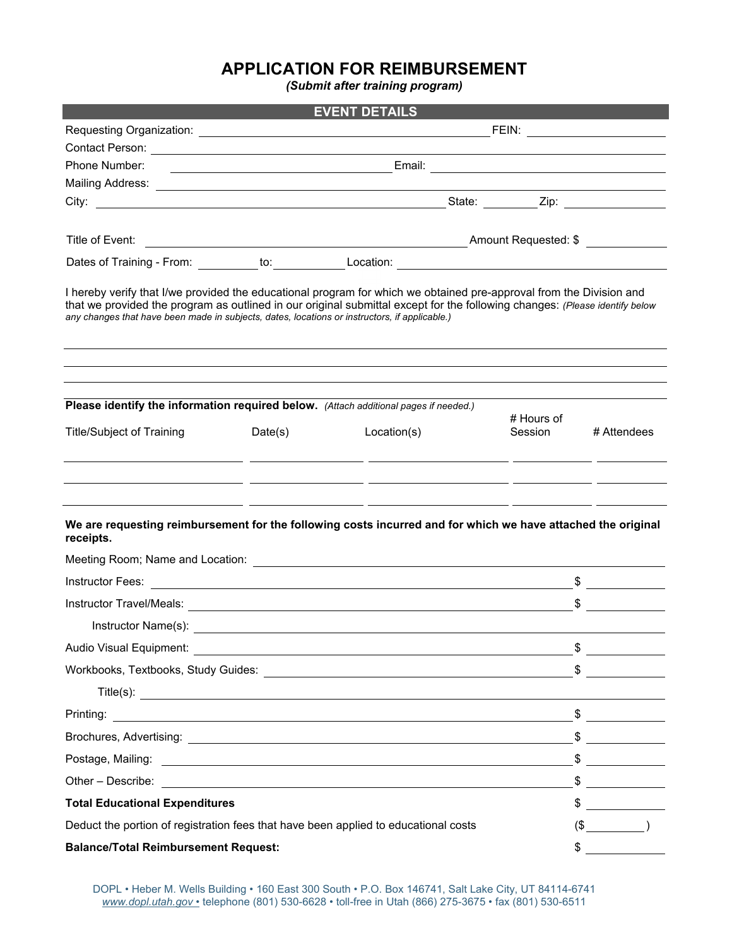## **APPLICATION FOR REIMBURSEMENT**

*(Submit after training program)* 

|                                                                                                                                                                                                                                                                                                                                                     |         | <b>EVENT DETAILS</b>                                                                                                                |                       |                                                                                                                                                                                                                                                                                                                                                                                                                                 |
|-----------------------------------------------------------------------------------------------------------------------------------------------------------------------------------------------------------------------------------------------------------------------------------------------------------------------------------------------------|---------|-------------------------------------------------------------------------------------------------------------------------------------|-----------------------|---------------------------------------------------------------------------------------------------------------------------------------------------------------------------------------------------------------------------------------------------------------------------------------------------------------------------------------------------------------------------------------------------------------------------------|
|                                                                                                                                                                                                                                                                                                                                                     |         |                                                                                                                                     |                       |                                                                                                                                                                                                                                                                                                                                                                                                                                 |
|                                                                                                                                                                                                                                                                                                                                                     |         |                                                                                                                                     |                       |                                                                                                                                                                                                                                                                                                                                                                                                                                 |
| Phone Number:                                                                                                                                                                                                                                                                                                                                       |         |                                                                                                                                     |                       |                                                                                                                                                                                                                                                                                                                                                                                                                                 |
|                                                                                                                                                                                                                                                                                                                                                     |         |                                                                                                                                     |                       |                                                                                                                                                                                                                                                                                                                                                                                                                                 |
|                                                                                                                                                                                                                                                                                                                                                     |         |                                                                                                                                     |                       |                                                                                                                                                                                                                                                                                                                                                                                                                                 |
|                                                                                                                                                                                                                                                                                                                                                     |         |                                                                                                                                     |                       |                                                                                                                                                                                                                                                                                                                                                                                                                                 |
|                                                                                                                                                                                                                                                                                                                                                     |         |                                                                                                                                     |                       |                                                                                                                                                                                                                                                                                                                                                                                                                                 |
| I hereby verify that I/we provided the educational program for which we obtained pre-approval from the Division and<br>that we provided the program as outlined in our original submittal except for the following changes: (Please identify below<br>any changes that have been made in subjects, dates, locations or instructors, if applicable.) |         |                                                                                                                                     |                       |                                                                                                                                                                                                                                                                                                                                                                                                                                 |
| Please identify the information required below. (Attach additional pages if needed.)<br><b>Title/Subject of Training</b>                                                                                                                                                                                                                            | Date(s) | Location(s)<br><u> 1990 - Jan James James James James James James James James James James James James James James James James J</u> | # Hours of<br>Session | # Attendees                                                                                                                                                                                                                                                                                                                                                                                                                     |
| We are requesting reimbursement for the following costs incurred and for which we have attached the original<br>receipts.                                                                                                                                                                                                                           |         | <u> 1990 - Jan James, president eta industrial (h. 1908).</u>                                                                       |                       |                                                                                                                                                                                                                                                                                                                                                                                                                                 |
|                                                                                                                                                                                                                                                                                                                                                     |         |                                                                                                                                     |                       | $\frac{1}{2}$                                                                                                                                                                                                                                                                                                                                                                                                                   |
|                                                                                                                                                                                                                                                                                                                                                     |         |                                                                                                                                     |                       | $\frac{1}{2}$                                                                                                                                                                                                                                                                                                                                                                                                                   |
|                                                                                                                                                                                                                                                                                                                                                     |         |                                                                                                                                     |                       |                                                                                                                                                                                                                                                                                                                                                                                                                                 |
| Audio Visual Equipment:                                                                                                                                                                                                                                                                                                                             |         |                                                                                                                                     |                       |                                                                                                                                                                                                                                                                                                                                                                                                                                 |
|                                                                                                                                                                                                                                                                                                                                                     |         |                                                                                                                                     |                       | $\frac{1}{2}$                                                                                                                                                                                                                                                                                                                                                                                                                   |
|                                                                                                                                                                                                                                                                                                                                                     |         |                                                                                                                                     |                       |                                                                                                                                                                                                                                                                                                                                                                                                                                 |
|                                                                                                                                                                                                                                                                                                                                                     |         |                                                                                                                                     |                       | $\frac{1}{2}$                                                                                                                                                                                                                                                                                                                                                                                                                   |
|                                                                                                                                                                                                                                                                                                                                                     |         |                                                                                                                                     |                       | $\begin{array}{c}\n\circ \\ \bullet \\ \hline\n\end{array}$                                                                                                                                                                                                                                                                                                                                                                     |
|                                                                                                                                                                                                                                                                                                                                                     |         |                                                                                                                                     |                       |                                                                                                                                                                                                                                                                                                                                                                                                                                 |
| Other – Describe: etc. And the state of the state of the state of the state of the state of the state of the state of the state of the state of the state of the state of the state of the state of the state of the state of                                                                                                                       |         |                                                                                                                                     |                       | $\frac{1}{2}$                                                                                                                                                                                                                                                                                                                                                                                                                   |
| <b>Total Educational Expenditures</b>                                                                                                                                                                                                                                                                                                               |         |                                                                                                                                     |                       | $\frac{1}{\sqrt{1-\frac{1}{2}}}\frac{1}{\sqrt{1-\frac{1}{2}}}\frac{1}{\sqrt{1-\frac{1}{2}}}\frac{1}{\sqrt{1-\frac{1}{2}}}\frac{1}{\sqrt{1-\frac{1}{2}}}\frac{1}{\sqrt{1-\frac{1}{2}}}\frac{1}{\sqrt{1-\frac{1}{2}}}\frac{1}{\sqrt{1-\frac{1}{2}}}\frac{1}{\sqrt{1-\frac{1}{2}}}\frac{1}{\sqrt{1-\frac{1}{2}}}\frac{1}{\sqrt{1-\frac{1}{2}}}\frac{1}{\sqrt{1-\frac{1}{2}}}\frac{1}{\sqrt{1-\frac{1}{2}}}\frac{1}{\sqrt{1-\frac{$ |
| Deduct the portion of registration fees that have been applied to educational costs                                                                                                                                                                                                                                                                 |         |                                                                                                                                     |                       | $(\$$ )                                                                                                                                                                                                                                                                                                                                                                                                                         |
| <b>Balance/Total Reimbursement Request:</b>                                                                                                                                                                                                                                                                                                         |         |                                                                                                                                     |                       | $\frac{1}{\sqrt{1-\frac{1}{2}}\cdot\frac{1}{2}}$                                                                                                                                                                                                                                                                                                                                                                                |